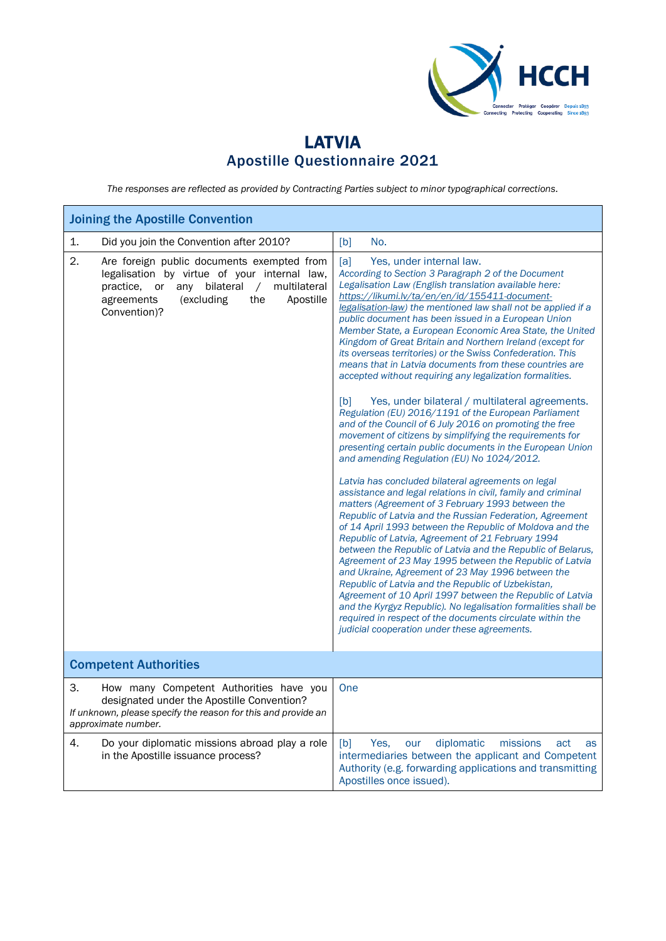

## LATVIA Apostille Questionnaire 2021

*The responses are reflected as provided by Contracting Parties subject to minor typographical corrections.*

| <b>Joining the Apostille Convention</b>                                                                                                                                                                                               |                                                                                                                                                                                                                                                                                                                                                                                                                                                                                                                                                                                                                                                                                                                                                                                                                                                                                                                                                                                                                                                                                                                                                                                                                                                                                                                                                                                                                                                                                                                                                                                                                                                                                                                                                                                                                                     |  |  |
|---------------------------------------------------------------------------------------------------------------------------------------------------------------------------------------------------------------------------------------|-------------------------------------------------------------------------------------------------------------------------------------------------------------------------------------------------------------------------------------------------------------------------------------------------------------------------------------------------------------------------------------------------------------------------------------------------------------------------------------------------------------------------------------------------------------------------------------------------------------------------------------------------------------------------------------------------------------------------------------------------------------------------------------------------------------------------------------------------------------------------------------------------------------------------------------------------------------------------------------------------------------------------------------------------------------------------------------------------------------------------------------------------------------------------------------------------------------------------------------------------------------------------------------------------------------------------------------------------------------------------------------------------------------------------------------------------------------------------------------------------------------------------------------------------------------------------------------------------------------------------------------------------------------------------------------------------------------------------------------------------------------------------------------------------------------------------------------|--|--|
| 1.<br>Did you join the Convention after 2010?                                                                                                                                                                                         | [b]<br>No.                                                                                                                                                                                                                                                                                                                                                                                                                                                                                                                                                                                                                                                                                                                                                                                                                                                                                                                                                                                                                                                                                                                                                                                                                                                                                                                                                                                                                                                                                                                                                                                                                                                                                                                                                                                                                          |  |  |
| 2.<br>Are foreign public documents exempted from<br>legalisation by virtue of your internal law,<br>multilateral<br>bilateral<br>practice,<br>or<br>any<br>$\sqrt{2}$<br>Apostille<br>agreements<br>(excluding<br>the<br>Convention)? | Yes, under internal law.<br>[a]<br>According to Section 3 Paragraph 2 of the Document<br>Legalisation Law (English translation available here:<br>https://likumi.lv/ta/en/en/id/155411-document-<br>legalisation-law) the mentioned law shall not be applied if a<br>public document has been issued in a European Union<br>Member State, a European Economic Area State, the United<br>Kingdom of Great Britain and Northern Ireland (except for<br>its overseas territories) or the Swiss Confederation. This<br>means that in Latvia documents from these countries are<br>accepted without requiring any legalization formalities.<br>Yes, under bilateral / multilateral agreements.<br>[b]<br>Regulation (EU) 2016/1191 of the European Parliament<br>and of the Council of 6 July 2016 on promoting the free<br>movement of citizens by simplifying the requirements for<br>presenting certain public documents in the European Union<br>and amending Regulation (EU) No 1024/2012.<br>Latvia has concluded bilateral agreements on legal<br>assistance and legal relations in civil, family and criminal<br>matters (Agreement of 3 February 1993 between the<br>Republic of Latvia and the Russian Federation, Agreement<br>of 14 April 1993 between the Republic of Moldova and the<br>Republic of Latvia, Agreement of 21 February 1994<br>between the Republic of Latvia and the Republic of Belarus,<br>Agreement of 23 May 1995 between the Republic of Latvia<br>and Ukraine, Agreement of 23 May 1996 between the<br>Republic of Latvia and the Republic of Uzbekistan,<br>Agreement of 10 April 1997 between the Republic of Latvia<br>and the Kyrgyz Republic). No legalisation formalities shall be<br>required in respect of the documents circulate within the<br>judicial cooperation under these agreements. |  |  |
|                                                                                                                                                                                                                                       |                                                                                                                                                                                                                                                                                                                                                                                                                                                                                                                                                                                                                                                                                                                                                                                                                                                                                                                                                                                                                                                                                                                                                                                                                                                                                                                                                                                                                                                                                                                                                                                                                                                                                                                                                                                                                                     |  |  |
| <b>Competent Authorities</b>                                                                                                                                                                                                          |                                                                                                                                                                                                                                                                                                                                                                                                                                                                                                                                                                                                                                                                                                                                                                                                                                                                                                                                                                                                                                                                                                                                                                                                                                                                                                                                                                                                                                                                                                                                                                                                                                                                                                                                                                                                                                     |  |  |
| 3.<br>How many Competent Authorities have you<br>designated under the Apostille Convention?<br>If unknown, please specify the reason for this and provide an<br>approximate number.                                                   | One                                                                                                                                                                                                                                                                                                                                                                                                                                                                                                                                                                                                                                                                                                                                                                                                                                                                                                                                                                                                                                                                                                                                                                                                                                                                                                                                                                                                                                                                                                                                                                                                                                                                                                                                                                                                                                 |  |  |
| Do your diplomatic missions abroad play a role<br>4.<br>in the Apostille issuance process?                                                                                                                                            | diplomatic<br>[b]<br>Yes.<br>our<br>missions<br>act<br>as<br>intermediaries between the applicant and Competent<br>Authority (e.g. forwarding applications and transmitting<br>Apostilles once issued).                                                                                                                                                                                                                                                                                                                                                                                                                                                                                                                                                                                                                                                                                                                                                                                                                                                                                                                                                                                                                                                                                                                                                                                                                                                                                                                                                                                                                                                                                                                                                                                                                             |  |  |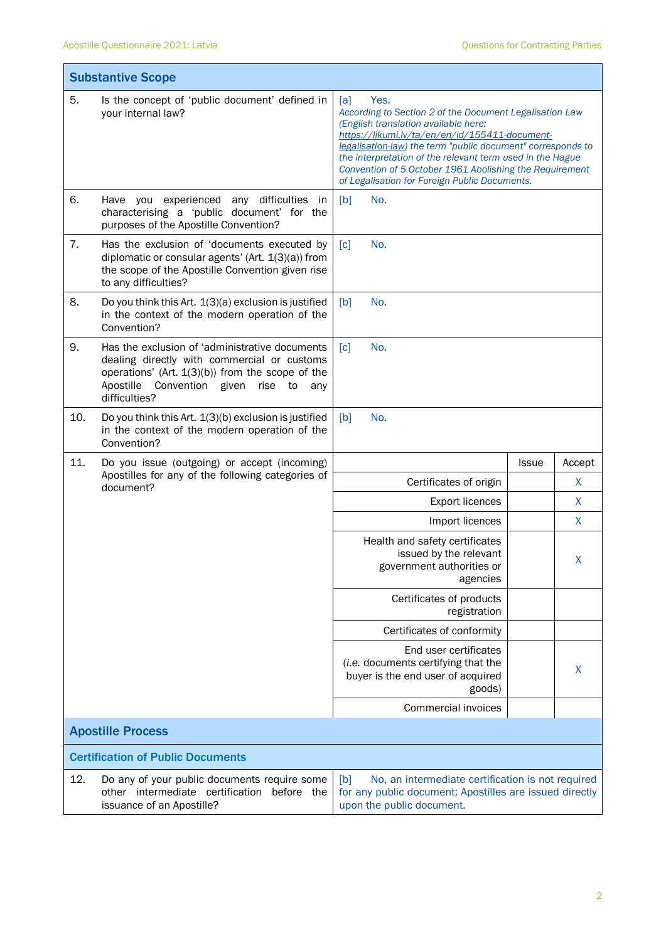| <b>Substantive Scope</b> |                                                                                                                                                                                                                          |                                                                                                                                                                                                                                                                                                                                                                                                          |              |              |  |
|--------------------------|--------------------------------------------------------------------------------------------------------------------------------------------------------------------------------------------------------------------------|----------------------------------------------------------------------------------------------------------------------------------------------------------------------------------------------------------------------------------------------------------------------------------------------------------------------------------------------------------------------------------------------------------|--------------|--------------|--|
| 5.                       | Is the concept of 'public document' defined in<br>your internal law?                                                                                                                                                     | Yes.<br>[a]<br>According to Section 2 of the Document Legalisation Law<br>(English translation available here:<br>https://likumi.lv/ta/en/en/id/155411-document-<br>legalisation-law) the term "public document" corresponds to<br>the interpretation of the relevant term used in the Hague<br>Convention of 5 October 1961 Abolishing the Requirement<br>of Legalisation for Foreign Public Documents. |              |              |  |
| 6.                       | Have you experienced any difficulties<br>in<br>characterising a 'public document' for the<br>purposes of the Apostille Convention?                                                                                       | [b]<br>No.                                                                                                                                                                                                                                                                                                                                                                                               |              |              |  |
| 7.                       | Has the exclusion of 'documents executed by<br>diplomatic or consular agents' (Art. 1(3)(a)) from<br>the scope of the Apostille Convention given rise<br>to any difficulties?                                            | No.<br>$\lceil c \rceil$                                                                                                                                                                                                                                                                                                                                                                                 |              |              |  |
| 8.                       | Do you think this Art. 1(3)(a) exclusion is justified<br>in the context of the modern operation of the<br>Convention?                                                                                                    | [b]<br>No.                                                                                                                                                                                                                                                                                                                                                                                               |              |              |  |
| 9.                       | Has the exclusion of 'administrative documents<br>dealing directly with commercial or customs<br>operations' (Art. $1(3)(b)$ ) from the scope of the<br>Apostille<br>Convention given<br>rise to<br>any<br>difficulties? | No.<br>$\lceil c \rceil$                                                                                                                                                                                                                                                                                                                                                                                 |              |              |  |
| 10.                      | Do you think this Art. 1(3)(b) exclusion is justified<br>in the context of the modern operation of the<br>Convention?                                                                                                    | No.<br>[b]                                                                                                                                                                                                                                                                                                                                                                                               |              |              |  |
| 11.                      | Do you issue (outgoing) or accept (incoming)                                                                                                                                                                             |                                                                                                                                                                                                                                                                                                                                                                                                          | <b>Issue</b> | Accept       |  |
|                          | Apostilles for any of the following categories of<br>document?                                                                                                                                                           | Certificates of origin                                                                                                                                                                                                                                                                                                                                                                                   |              | X            |  |
|                          |                                                                                                                                                                                                                          | <b>Export licences</b>                                                                                                                                                                                                                                                                                                                                                                                   |              | $\mathsf{X}$ |  |
|                          |                                                                                                                                                                                                                          | Import licences                                                                                                                                                                                                                                                                                                                                                                                          |              | X            |  |
|                          |                                                                                                                                                                                                                          | Health and safety certificates<br>issued by the relevant<br>government authorities or<br>agencies                                                                                                                                                                                                                                                                                                        |              | X            |  |
|                          |                                                                                                                                                                                                                          | Certificates of products<br>registration                                                                                                                                                                                                                                                                                                                                                                 |              |              |  |
|                          |                                                                                                                                                                                                                          | Certificates of conformity                                                                                                                                                                                                                                                                                                                                                                               |              |              |  |
|                          |                                                                                                                                                                                                                          | End user certificates<br>(i.e. documents certifying that the<br>buyer is the end user of acquired<br>goods)                                                                                                                                                                                                                                                                                              |              | X            |  |
|                          |                                                                                                                                                                                                                          | Commercial invoices                                                                                                                                                                                                                                                                                                                                                                                      |              |              |  |
|                          | <b>Apostille Process</b>                                                                                                                                                                                                 |                                                                                                                                                                                                                                                                                                                                                                                                          |              |              |  |
|                          | <b>Certification of Public Documents</b>                                                                                                                                                                                 |                                                                                                                                                                                                                                                                                                                                                                                                          |              |              |  |
| 12.                      | Do any of your public documents require some<br>other intermediate certification before the<br>issuance of an Apostille?                                                                                                 | No, an intermediate certification is not required<br>[b]<br>for any public document; Apostilles are issued directly<br>upon the public document.                                                                                                                                                                                                                                                         |              |              |  |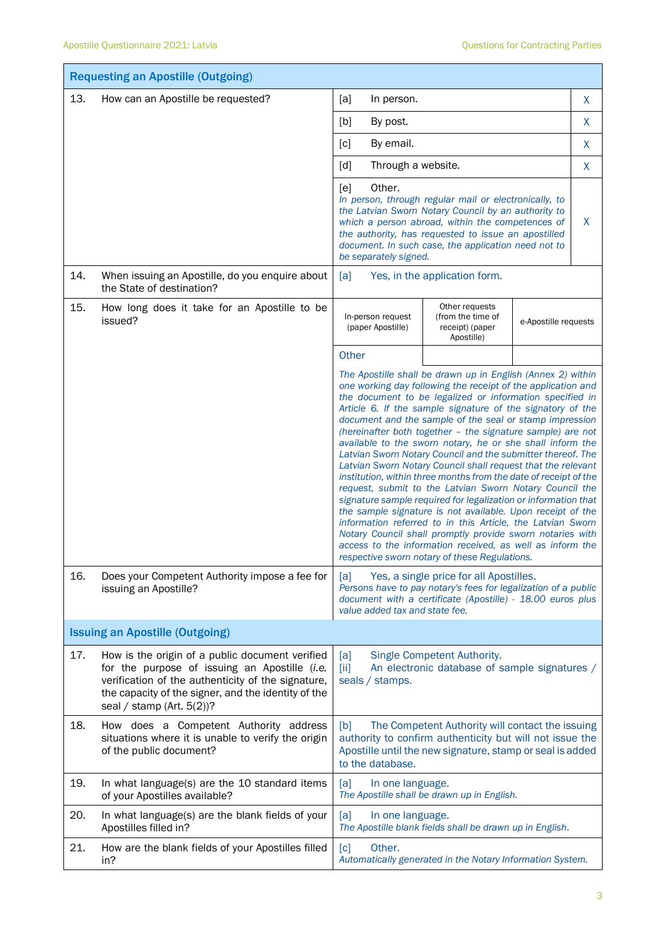|     | <b>Requesting an Apostille (Outgoing)</b>                                                                                                                                                                                                     |                                                                                                                                                                                                                                                                                                                                                                                                                                                                                                                                                                                                                                                                                                                                                                                                                                                                                                                                                                                                                                                                                    |   |  |
|-----|-----------------------------------------------------------------------------------------------------------------------------------------------------------------------------------------------------------------------------------------------|------------------------------------------------------------------------------------------------------------------------------------------------------------------------------------------------------------------------------------------------------------------------------------------------------------------------------------------------------------------------------------------------------------------------------------------------------------------------------------------------------------------------------------------------------------------------------------------------------------------------------------------------------------------------------------------------------------------------------------------------------------------------------------------------------------------------------------------------------------------------------------------------------------------------------------------------------------------------------------------------------------------------------------------------------------------------------------|---|--|
| 13. | How can an Apostille be requested?                                                                                                                                                                                                            | [a]<br>In person.                                                                                                                                                                                                                                                                                                                                                                                                                                                                                                                                                                                                                                                                                                                                                                                                                                                                                                                                                                                                                                                                  | X |  |
|     |                                                                                                                                                                                                                                               | [b]<br>By post.                                                                                                                                                                                                                                                                                                                                                                                                                                                                                                                                                                                                                                                                                                                                                                                                                                                                                                                                                                                                                                                                    | X |  |
|     |                                                                                                                                                                                                                                               | By email.<br>$\lceil c \rceil$                                                                                                                                                                                                                                                                                                                                                                                                                                                                                                                                                                                                                                                                                                                                                                                                                                                                                                                                                                                                                                                     | X |  |
|     |                                                                                                                                                                                                                                               | Through a website.<br>[d]                                                                                                                                                                                                                                                                                                                                                                                                                                                                                                                                                                                                                                                                                                                                                                                                                                                                                                                                                                                                                                                          | X |  |
|     |                                                                                                                                                                                                                                               | Other.<br>[e]<br>In person, through regular mail or electronically, to<br>the Latvian Sworn Notary Council by an authority to<br>which a person abroad, within the competences of<br>the authority, has requested to issue an apostilled<br>document. In such case, the application need not to<br>be separately signed.                                                                                                                                                                                                                                                                                                                                                                                                                                                                                                                                                                                                                                                                                                                                                           | X |  |
| 14. | When issuing an Apostille, do you enquire about<br>the State of destination?                                                                                                                                                                  | Yes, in the application form.<br>[a]                                                                                                                                                                                                                                                                                                                                                                                                                                                                                                                                                                                                                                                                                                                                                                                                                                                                                                                                                                                                                                               |   |  |
| 15. | How long does it take for an Apostille to be<br>issued?                                                                                                                                                                                       | Other requests<br>In-person request<br>(from the time of<br>e-Apostille requests<br>(paper Apostille)<br>receipt) (paper<br>Apostille)                                                                                                                                                                                                                                                                                                                                                                                                                                                                                                                                                                                                                                                                                                                                                                                                                                                                                                                                             |   |  |
|     |                                                                                                                                                                                                                                               | Other                                                                                                                                                                                                                                                                                                                                                                                                                                                                                                                                                                                                                                                                                                                                                                                                                                                                                                                                                                                                                                                                              |   |  |
|     |                                                                                                                                                                                                                                               | The Apostille shall be drawn up in English (Annex 2) within<br>one working day following the receipt of the application and<br>the document to be legalized or information specified in<br>Article 6. If the sample signature of the signatory of the<br>document and the sample of the seal or stamp impression<br>(hereinafter both together - the signature sample) are not<br>available to the sworn notary, he or she shall inform the<br>Latvian Sworn Notary Council and the submitter thereof. The<br>Latvian Sworn Notary Council shall request that the relevant<br>institution, within three months from the date of receipt of the<br>request, submit to the Latvian Sworn Notary Council the<br>signature sample required for legalization or information that<br>the sample signature is not available. Upon receipt of the<br>information referred to in this Article, the Latvian Sworn<br>Notary Council shall promptly provide sworn notaries with<br>access to the information received, as well as inform the<br>respective sworn notary of these Regulations. |   |  |
| 16. | Does your Competent Authority impose a fee for<br>issuing an Apostille?                                                                                                                                                                       | Yes, a single price for all Apostilles.<br>[a]<br>Persons have to pay notary's fees for legalization of a public<br>document with a certificate (Apostille) - 18.00 euros plus<br>value added tax and state fee.                                                                                                                                                                                                                                                                                                                                                                                                                                                                                                                                                                                                                                                                                                                                                                                                                                                                   |   |  |
|     | <b>Issuing an Apostille (Outgoing)</b>                                                                                                                                                                                                        |                                                                                                                                                                                                                                                                                                                                                                                                                                                                                                                                                                                                                                                                                                                                                                                                                                                                                                                                                                                                                                                                                    |   |  |
| 17. | How is the origin of a public document verified<br>for the purpose of issuing an Apostille (i.e.<br>verification of the authenticity of the signature,<br>the capacity of the signer, and the identity of the<br>seal / stamp (Art. $5(2)$ )? | [a]<br>Single Competent Authority.<br>An electronic database of sample signatures /<br>$[iii]$<br>seals / stamps.                                                                                                                                                                                                                                                                                                                                                                                                                                                                                                                                                                                                                                                                                                                                                                                                                                                                                                                                                                  |   |  |
| 18. | How does a Competent Authority address<br>situations where it is unable to verify the origin<br>of the public document?                                                                                                                       | The Competent Authority will contact the issuing<br>[b]<br>authority to confirm authenticity but will not issue the<br>Apostille until the new signature, stamp or seal is added<br>to the database.                                                                                                                                                                                                                                                                                                                                                                                                                                                                                                                                                                                                                                                                                                                                                                                                                                                                               |   |  |
| 19. | In what language(s) are the 10 standard items<br>of your Apostilles available?                                                                                                                                                                | [a]<br>In one language.<br>The Apostille shall be drawn up in English.                                                                                                                                                                                                                                                                                                                                                                                                                                                                                                                                                                                                                                                                                                                                                                                                                                                                                                                                                                                                             |   |  |
| 20. | In what language(s) are the blank fields of your<br>Apostilles filled in?                                                                                                                                                                     | [a]<br>In one language.<br>The Apostille blank fields shall be drawn up in English.                                                                                                                                                                                                                                                                                                                                                                                                                                                                                                                                                                                                                                                                                                                                                                                                                                                                                                                                                                                                |   |  |
| 21. | How are the blank fields of your Apostilles filled<br>in?                                                                                                                                                                                     | Other.<br>[c]<br>Automatically generated in the Notary Information System.                                                                                                                                                                                                                                                                                                                                                                                                                                                                                                                                                                                                                                                                                                                                                                                                                                                                                                                                                                                                         |   |  |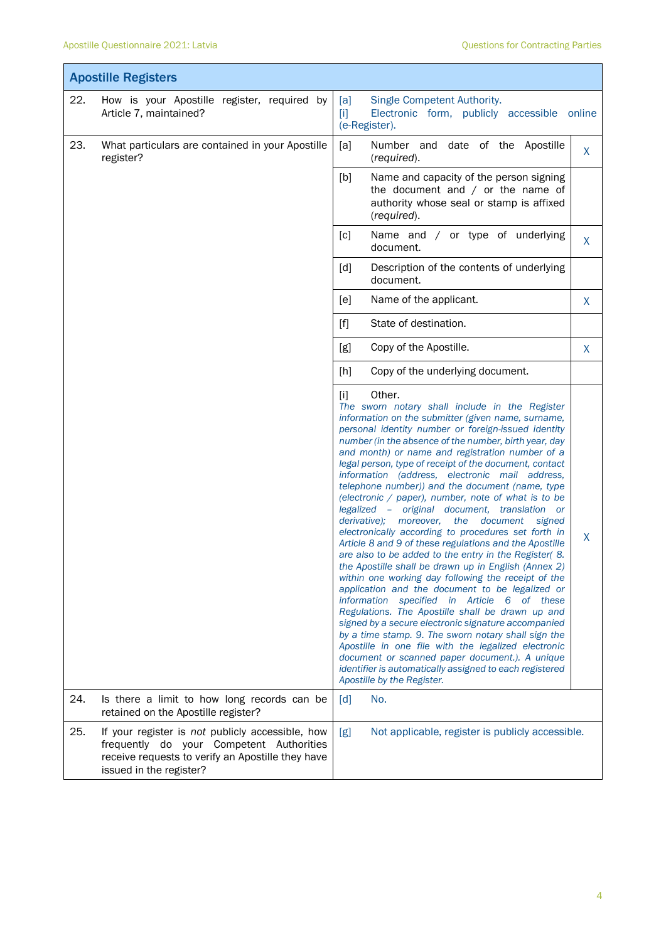T

Ť

|     | <b>Apostille Registers</b>                                                                                                                                                   |                                                                                                                                                                                                                                                                                                                                                                                                                                                                                                                                                                                                                                                                                                                                                                                                                                                                                                                                                                                                                                                                                                                                                                                                                                                                                                                                                                                    |              |  |
|-----|------------------------------------------------------------------------------------------------------------------------------------------------------------------------------|------------------------------------------------------------------------------------------------------------------------------------------------------------------------------------------------------------------------------------------------------------------------------------------------------------------------------------------------------------------------------------------------------------------------------------------------------------------------------------------------------------------------------------------------------------------------------------------------------------------------------------------------------------------------------------------------------------------------------------------------------------------------------------------------------------------------------------------------------------------------------------------------------------------------------------------------------------------------------------------------------------------------------------------------------------------------------------------------------------------------------------------------------------------------------------------------------------------------------------------------------------------------------------------------------------------------------------------------------------------------------------|--------------|--|
| 22. | How is your Apostille register, required by<br>Article 7, maintained?                                                                                                        | Single Competent Authority.<br>[a]<br>$[1]$<br>Electronic form, publicly accessible online<br>(e-Register).                                                                                                                                                                                                                                                                                                                                                                                                                                                                                                                                                                                                                                                                                                                                                                                                                                                                                                                                                                                                                                                                                                                                                                                                                                                                        |              |  |
| 23. | What particulars are contained in your Apostille<br>register?                                                                                                                | [a]<br>Number and date of the Apostille<br>(required).                                                                                                                                                                                                                                                                                                                                                                                                                                                                                                                                                                                                                                                                                                                                                                                                                                                                                                                                                                                                                                                                                                                                                                                                                                                                                                                             | X            |  |
|     |                                                                                                                                                                              | [b]<br>Name and capacity of the person signing<br>the document and $/$ or the name of<br>authority whose seal or stamp is affixed<br>(required).                                                                                                                                                                                                                                                                                                                                                                                                                                                                                                                                                                                                                                                                                                                                                                                                                                                                                                                                                                                                                                                                                                                                                                                                                                   |              |  |
|     |                                                                                                                                                                              | Name and / or type of underlying<br>[c]<br>document.                                                                                                                                                                                                                                                                                                                                                                                                                                                                                                                                                                                                                                                                                                                                                                                                                                                                                                                                                                                                                                                                                                                                                                                                                                                                                                                               | X            |  |
|     |                                                                                                                                                                              | Description of the contents of underlying<br>[d]<br>document.                                                                                                                                                                                                                                                                                                                                                                                                                                                                                                                                                                                                                                                                                                                                                                                                                                                                                                                                                                                                                                                                                                                                                                                                                                                                                                                      |              |  |
|     |                                                                                                                                                                              | [e]<br>Name of the applicant.                                                                                                                                                                                                                                                                                                                                                                                                                                                                                                                                                                                                                                                                                                                                                                                                                                                                                                                                                                                                                                                                                                                                                                                                                                                                                                                                                      | $\mathsf{X}$ |  |
|     |                                                                                                                                                                              | State of destination.<br>$[f]$                                                                                                                                                                                                                                                                                                                                                                                                                                                                                                                                                                                                                                                                                                                                                                                                                                                                                                                                                                                                                                                                                                                                                                                                                                                                                                                                                     |              |  |
|     |                                                                                                                                                                              | Copy of the Apostille.<br>[g]                                                                                                                                                                                                                                                                                                                                                                                                                                                                                                                                                                                                                                                                                                                                                                                                                                                                                                                                                                                                                                                                                                                                                                                                                                                                                                                                                      | X            |  |
|     |                                                                                                                                                                              | Copy of the underlying document.<br>[h]                                                                                                                                                                                                                                                                                                                                                                                                                                                                                                                                                                                                                                                                                                                                                                                                                                                                                                                                                                                                                                                                                                                                                                                                                                                                                                                                            |              |  |
|     |                                                                                                                                                                              | Other.<br>$[1]$<br>The sworn notary shall include in the Register<br>information on the submitter (given name, surname,<br>personal identity number or foreign-issued identity<br>number (in the absence of the number, birth year, day<br>and month) or name and registration number of a<br>legal person, type of receipt of the document, contact<br>information (address, electronic mail address,<br>telephone number)) and the document (name, type<br>(electronic $/$ paper), number, note of what is to be<br>legalized - original document, translation or<br>derivative); moreover, the document<br>signed<br>electronically according to procedures set forth in<br>Article 8 and 9 of these regulations and the Apostille<br>are also to be added to the entry in the Register(8.<br>the Apostille shall be drawn up in English (Annex 2)<br>within one working day following the receipt of the<br>application and the document to be legalized or<br>information specified in Article 6 of these<br>Regulations. The Apostille shall be drawn up and<br>signed by a secure electronic signature accompanied<br>by a time stamp. 9. The sworn notary shall sign the<br>Apostille in one file with the legalized electronic<br>document or scanned paper document.). A unique<br>identifier is automatically assigned to each registered<br>Apostille by the Register. | $\mathsf{X}$ |  |
| 24. | Is there a limit to how long records can be<br>retained on the Apostille register?                                                                                           | No.<br>$\lceil d \rceil$                                                                                                                                                                                                                                                                                                                                                                                                                                                                                                                                                                                                                                                                                                                                                                                                                                                                                                                                                                                                                                                                                                                                                                                                                                                                                                                                                           |              |  |
| 25. | If your register is not publicly accessible, how<br>frequently do your Competent Authorities<br>receive requests to verify an Apostille they have<br>issued in the register? | Not applicable, register is publicly accessible.<br>[g]                                                                                                                                                                                                                                                                                                                                                                                                                                                                                                                                                                                                                                                                                                                                                                                                                                                                                                                                                                                                                                                                                                                                                                                                                                                                                                                            |              |  |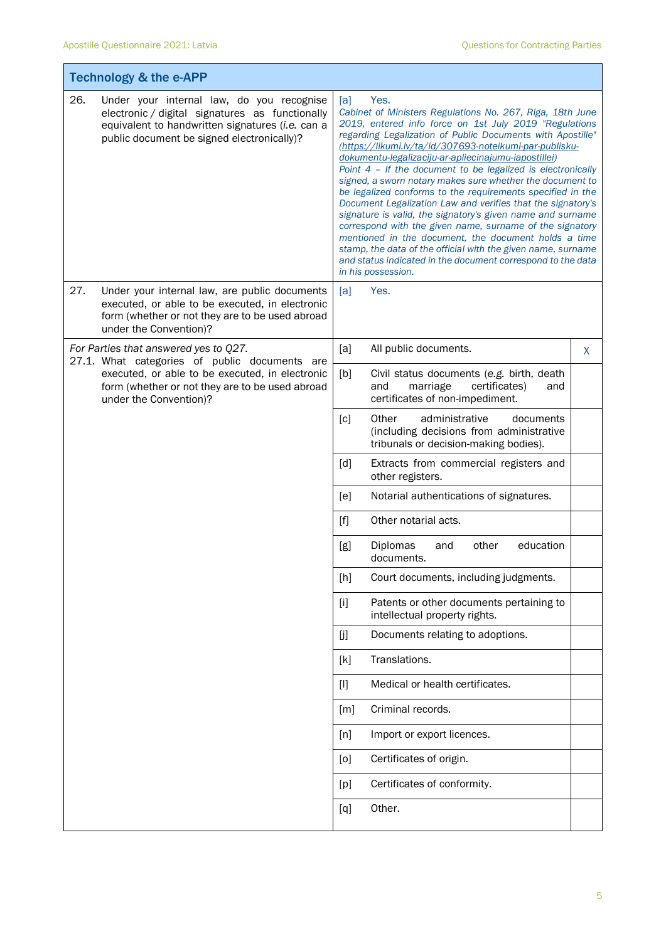T

Ť

| <b>Technology &amp; the e-APP</b> |                                                                                                                                                                                                                        |                                                                                                                                                                                                                                                                                                                                                                                                                                                                                                                                                                                                                                                                                                                                                                                                                                                                                                                       |                                                                                                                           |   |
|-----------------------------------|------------------------------------------------------------------------------------------------------------------------------------------------------------------------------------------------------------------------|-----------------------------------------------------------------------------------------------------------------------------------------------------------------------------------------------------------------------------------------------------------------------------------------------------------------------------------------------------------------------------------------------------------------------------------------------------------------------------------------------------------------------------------------------------------------------------------------------------------------------------------------------------------------------------------------------------------------------------------------------------------------------------------------------------------------------------------------------------------------------------------------------------------------------|---------------------------------------------------------------------------------------------------------------------------|---|
| 26.                               | Under your internal law, do you recognise<br>electronic / digital signatures as functionally<br>equivalent to handwritten signatures (i.e. can a<br>public document be signed electronically)?                         | Yes.<br>[a]<br>Cabinet of Ministers Regulations No. 267, Riga, 18th June<br>2019, entered info force on 1st July 2019 "Regulations<br>regarding Legalization of Public Documents with Apostille"<br>(https://likumi.lv/ta/id/307693-noteikumi-par-publisku-<br>dokumentu-legalizaciju-ar-apliecinajumu-iapostillei)<br>Point $4$ - If the document to be legalized is electronically<br>signed, a sworn notary makes sure whether the document to<br>be legalized conforms to the requirements specified in the<br>Document Legalization Law and verifies that the signatory's<br>signature is valid, the signatory's given name and surname<br>correspond with the given name, surname of the signatory<br>mentioned in the document, the document holds a time<br>stamp, the data of the official with the given name, surname<br>and status indicated in the document correspond to the data<br>in his possession. |                                                                                                                           |   |
| 27.                               | Under your internal law, are public documents<br>executed, or able to be executed, in electronic<br>form (whether or not they are to be used abroad<br>under the Convention)?                                          | [a]                                                                                                                                                                                                                                                                                                                                                                                                                                                                                                                                                                                                                                                                                                                                                                                                                                                                                                                   | Yes.                                                                                                                      |   |
|                                   | For Parties that answered yes to Q27.<br>27.1. What categories of public documents are<br>executed, or able to be executed, in electronic<br>form (whether or not they are to be used abroad<br>under the Convention)? | [a]                                                                                                                                                                                                                                                                                                                                                                                                                                                                                                                                                                                                                                                                                                                                                                                                                                                                                                                   | All public documents.                                                                                                     | X |
|                                   |                                                                                                                                                                                                                        | [b]                                                                                                                                                                                                                                                                                                                                                                                                                                                                                                                                                                                                                                                                                                                                                                                                                                                                                                                   | Civil status documents (e.g. birth, death<br>marriage<br>certificates)<br>and<br>and<br>certificates of non-impediment.   |   |
|                                   |                                                                                                                                                                                                                        | [c]                                                                                                                                                                                                                                                                                                                                                                                                                                                                                                                                                                                                                                                                                                                                                                                                                                                                                                                   | Other<br>administrative<br>documents<br>(including decisions from administrative<br>tribunals or decision-making bodies). |   |
|                                   |                                                                                                                                                                                                                        | $\lceil d \rceil$                                                                                                                                                                                                                                                                                                                                                                                                                                                                                                                                                                                                                                                                                                                                                                                                                                                                                                     | Extracts from commercial registers and<br>other registers.                                                                |   |
|                                   |                                                                                                                                                                                                                        | [e]                                                                                                                                                                                                                                                                                                                                                                                                                                                                                                                                                                                                                                                                                                                                                                                                                                                                                                                   | Notarial authentications of signatures.                                                                                   |   |
|                                   |                                                                                                                                                                                                                        | [f]                                                                                                                                                                                                                                                                                                                                                                                                                                                                                                                                                                                                                                                                                                                                                                                                                                                                                                                   | Other notarial acts.                                                                                                      |   |
|                                   |                                                                                                                                                                                                                        | [g]                                                                                                                                                                                                                                                                                                                                                                                                                                                                                                                                                                                                                                                                                                                                                                                                                                                                                                                   | education<br>Diplomas<br>other<br>and<br>documents.                                                                       |   |
|                                   |                                                                                                                                                                                                                        | [h]                                                                                                                                                                                                                                                                                                                                                                                                                                                                                                                                                                                                                                                                                                                                                                                                                                                                                                                   | Court documents, including judgments.                                                                                     |   |
|                                   |                                                                                                                                                                                                                        | $[1]$                                                                                                                                                                                                                                                                                                                                                                                                                                                                                                                                                                                                                                                                                                                                                                                                                                                                                                                 | Patents or other documents pertaining to<br>intellectual property rights.                                                 |   |
|                                   |                                                                                                                                                                                                                        | $[]$                                                                                                                                                                                                                                                                                                                                                                                                                                                                                                                                                                                                                                                                                                                                                                                                                                                                                                                  | Documents relating to adoptions.                                                                                          |   |
|                                   |                                                                                                                                                                                                                        | [k]                                                                                                                                                                                                                                                                                                                                                                                                                                                                                                                                                                                                                                                                                                                                                                                                                                                                                                                   | Translations.                                                                                                             |   |
|                                   |                                                                                                                                                                                                                        | $[1]$                                                                                                                                                                                                                                                                                                                                                                                                                                                                                                                                                                                                                                                                                                                                                                                                                                                                                                                 | Medical or health certificates.                                                                                           |   |
|                                   |                                                                                                                                                                                                                        | [m]                                                                                                                                                                                                                                                                                                                                                                                                                                                                                                                                                                                                                                                                                                                                                                                                                                                                                                                   | Criminal records.                                                                                                         |   |
|                                   |                                                                                                                                                                                                                        | [n]                                                                                                                                                                                                                                                                                                                                                                                                                                                                                                                                                                                                                                                                                                                                                                                                                                                                                                                   | Import or export licences.                                                                                                |   |
|                                   |                                                                                                                                                                                                                        | [0]                                                                                                                                                                                                                                                                                                                                                                                                                                                                                                                                                                                                                                                                                                                                                                                                                                                                                                                   | Certificates of origin.                                                                                                   |   |
|                                   |                                                                                                                                                                                                                        | [p]                                                                                                                                                                                                                                                                                                                                                                                                                                                                                                                                                                                                                                                                                                                                                                                                                                                                                                                   | Certificates of conformity.                                                                                               |   |
|                                   |                                                                                                                                                                                                                        | [q]                                                                                                                                                                                                                                                                                                                                                                                                                                                                                                                                                                                                                                                                                                                                                                                                                                                                                                                   | Other.                                                                                                                    |   |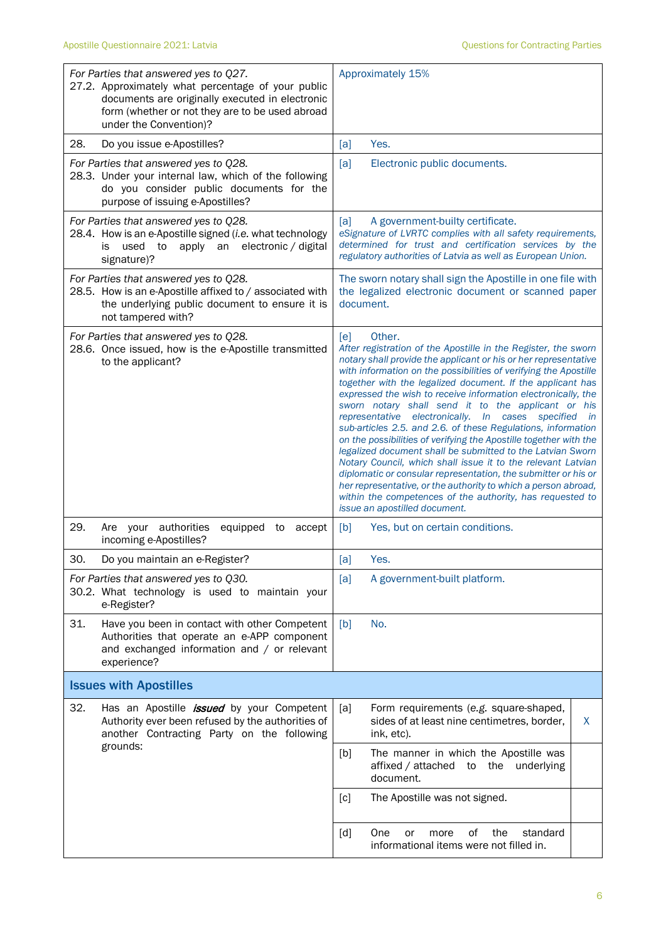| For Parties that answered yes to Q27.<br>27.2. Approximately what percentage of your public<br>documents are originally executed in electronic<br>form (whether or not they are to be used abroad<br>under the Convention)? | Approximately 15%                                                                                                                                                                                                                                                                                                                                                                                                                                                                                                                                                                                                                                                                                                                                                                                                                                                                                                                                                                              |
|-----------------------------------------------------------------------------------------------------------------------------------------------------------------------------------------------------------------------------|------------------------------------------------------------------------------------------------------------------------------------------------------------------------------------------------------------------------------------------------------------------------------------------------------------------------------------------------------------------------------------------------------------------------------------------------------------------------------------------------------------------------------------------------------------------------------------------------------------------------------------------------------------------------------------------------------------------------------------------------------------------------------------------------------------------------------------------------------------------------------------------------------------------------------------------------------------------------------------------------|
| 28.<br>Do you issue e-Apostilles?                                                                                                                                                                                           | Yes.<br>[a]                                                                                                                                                                                                                                                                                                                                                                                                                                                                                                                                                                                                                                                                                                                                                                                                                                                                                                                                                                                    |
| For Parties that answered yes to Q28.<br>28.3. Under your internal law, which of the following<br>do you consider public documents for the<br>purpose of issuing e-Apostilles?                                              | [a]<br>Electronic public documents.                                                                                                                                                                                                                                                                                                                                                                                                                                                                                                                                                                                                                                                                                                                                                                                                                                                                                                                                                            |
| For Parties that answered yes to Q28.<br>28.4. How is an e-Apostille signed (i.e. what technology<br>apply an electronic / digital<br>used<br>to<br>İS.<br>signature)?                                                      | [a]<br>A government-builty certificate.<br>eSignature of LVRTC complies with all safety requirements,<br>determined for trust and certification services by the<br>regulatory authorities of Latvia as well as European Union.                                                                                                                                                                                                                                                                                                                                                                                                                                                                                                                                                                                                                                                                                                                                                                 |
| For Parties that answered yes to Q28.<br>28.5. How is an e-Apostille affixed to / associated with<br>the underlying public document to ensure it is<br>not tampered with?                                                   | The sworn notary shall sign the Apostille in one file with<br>the legalized electronic document or scanned paper<br>document.                                                                                                                                                                                                                                                                                                                                                                                                                                                                                                                                                                                                                                                                                                                                                                                                                                                                  |
| For Parties that answered yes to Q28.<br>28.6. Once issued, how is the e-Apostille transmitted<br>to the applicant?                                                                                                         | [ <b>e</b> ]<br>Other.<br>After registration of the Apostille in the Register, the sworn<br>notary shall provide the applicant or his or her representative<br>with information on the possibilities of verifying the Apostille<br>together with the legalized document. If the applicant has<br>expressed the wish to receive information electronically, the<br>sworn notary shall send it to the applicant or his<br>representative electronically. In cases<br>specified<br><i>in</i><br>sub-articles 2.5. and 2.6. of these Regulations, information<br>on the possibilities of verifying the Apostille together with the<br>legalized document shall be submitted to the Latvian Sworn<br>Notary Council, which shall issue it to the relevant Latvian<br>diplomatic or consular representation, the submitter or his or<br>her representative, or the authority to which a person abroad,<br>within the competences of the authority, has requested to<br>issue an apostilled document. |
| 29.<br>Are your authorities<br>equipped<br>to<br>accept<br>incoming e-Apostilles?                                                                                                                                           | [b]<br>Yes, but on certain conditions.                                                                                                                                                                                                                                                                                                                                                                                                                                                                                                                                                                                                                                                                                                                                                                                                                                                                                                                                                         |
| 30.<br>Do you maintain an e-Register?                                                                                                                                                                                       | [a]<br>Yes.                                                                                                                                                                                                                                                                                                                                                                                                                                                                                                                                                                                                                                                                                                                                                                                                                                                                                                                                                                                    |
| For Parties that answered yes to Q30.<br>30.2. What technology is used to maintain your<br>e-Register?                                                                                                                      | A government-built platform.<br>[a]                                                                                                                                                                                                                                                                                                                                                                                                                                                                                                                                                                                                                                                                                                                                                                                                                                                                                                                                                            |
| 31.<br>Have you been in contact with other Competent<br>Authorities that operate an e-APP component<br>and exchanged information and / or relevant<br>experience?                                                           | No.<br>[b]                                                                                                                                                                                                                                                                                                                                                                                                                                                                                                                                                                                                                                                                                                                                                                                                                                                                                                                                                                                     |
| <b>Issues with Apostilles</b>                                                                                                                                                                                               |                                                                                                                                                                                                                                                                                                                                                                                                                                                                                                                                                                                                                                                                                                                                                                                                                                                                                                                                                                                                |
| 32.<br>Has an Apostille <i>issued</i> by your Competent<br>Authority ever been refused by the authorities of<br>another Contracting Party on the following                                                                  | Form requirements (e.g. square-shaped,<br>[a]<br>sides of at least nine centimetres, border,<br>X<br>ink, etc).                                                                                                                                                                                                                                                                                                                                                                                                                                                                                                                                                                                                                                                                                                                                                                                                                                                                                |
| grounds:                                                                                                                                                                                                                    | [b]<br>The manner in which the Apostille was<br>affixed / attached to<br>the underlying<br>document.                                                                                                                                                                                                                                                                                                                                                                                                                                                                                                                                                                                                                                                                                                                                                                                                                                                                                           |
|                                                                                                                                                                                                                             | The Apostille was not signed.<br>[c]                                                                                                                                                                                                                                                                                                                                                                                                                                                                                                                                                                                                                                                                                                                                                                                                                                                                                                                                                           |
|                                                                                                                                                                                                                             | 0f<br>the<br>[d]<br>One<br>standard<br>or<br>more<br>informational items were not filled in.                                                                                                                                                                                                                                                                                                                                                                                                                                                                                                                                                                                                                                                                                                                                                                                                                                                                                                   |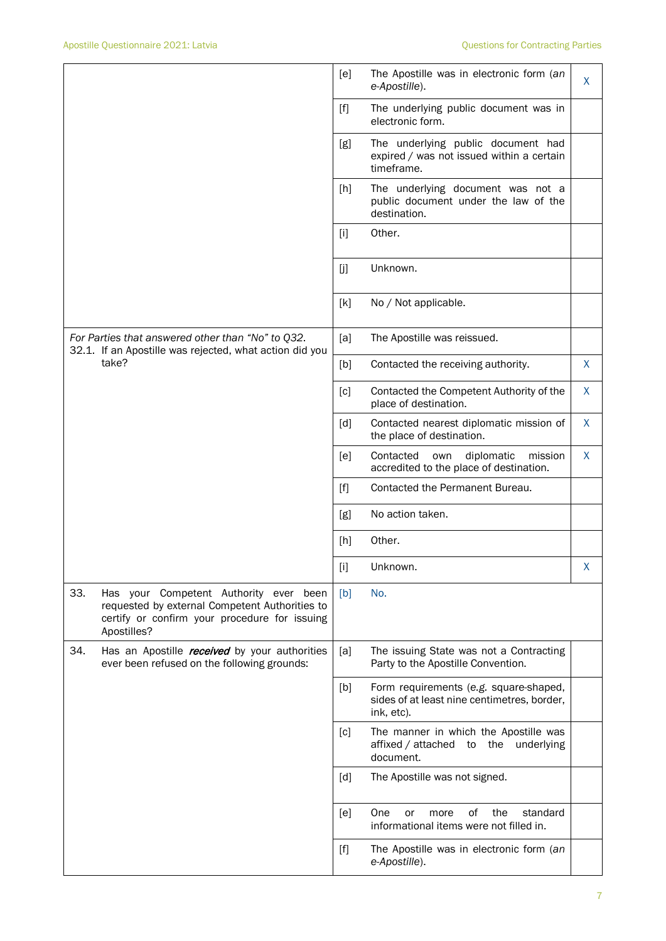|                                                                                                                                                                 | [e]         | The Apostille was in electronic form (an<br>e-Apostille).                                           | X       |
|-----------------------------------------------------------------------------------------------------------------------------------------------------------------|-------------|-----------------------------------------------------------------------------------------------------|---------|
|                                                                                                                                                                 | $[f]$       | The underlying public document was in<br>electronic form.                                           |         |
|                                                                                                                                                                 | [g]         | The underlying public document had<br>expired / was not issued within a certain<br>timeframe.       |         |
|                                                                                                                                                                 | [h]         | The underlying document was not a<br>public document under the law of the<br>destination.           |         |
|                                                                                                                                                                 | $[1]$       | Other.                                                                                              |         |
|                                                                                                                                                                 | [j]         | Unknown.                                                                                            |         |
|                                                                                                                                                                 | [k]         | No / Not applicable.                                                                                |         |
| For Parties that answered other than "No" to Q32.<br>32.1. If an Apostille was rejected, what action did you                                                    | [a]         | The Apostille was reissued.                                                                         |         |
| take?                                                                                                                                                           | [b]         | Contacted the receiving authority.                                                                  | X       |
|                                                                                                                                                                 | [c]         | Contacted the Competent Authority of the<br>place of destination.                                   | X       |
|                                                                                                                                                                 | [d]         | Contacted nearest diplomatic mission of<br>the place of destination.                                | $\sf X$ |
|                                                                                                                                                                 | [e]         | Contacted<br>own<br>diplomatic<br>mission<br>accredited to the place of destination.                | X       |
|                                                                                                                                                                 | $[f]$       | Contacted the Permanent Bureau.                                                                     |         |
|                                                                                                                                                                 | [g]         | No action taken.                                                                                    |         |
|                                                                                                                                                                 | [h]         | Other.                                                                                              |         |
|                                                                                                                                                                 | $[{\sf i}]$ | Unknown.                                                                                            | X       |
| 33.<br>Has your Competent Authority ever been<br>requested by external Competent Authorities to<br>certify or confirm your procedure for issuing<br>Apostilles? | [b]         | No.                                                                                                 |         |
| 34.<br>Has an Apostille <i>received</i> by your authorities<br>ever been refused on the following grounds:                                                      | [a]         | The issuing State was not a Contracting<br>Party to the Apostille Convention.                       |         |
|                                                                                                                                                                 | [b]         | Form requirements (e.g. square-shaped,<br>sides of at least nine centimetres, border,<br>ink, etc). |         |
|                                                                                                                                                                 | [c]         | The manner in which the Apostille was<br>affixed / attached to the underlying<br>document.          |         |
|                                                                                                                                                                 | [d]         | The Apostille was not signed.                                                                       |         |
|                                                                                                                                                                 | [e]         | One<br>of<br>the<br>standard<br>more<br>or<br>informational items were not filled in.               |         |
|                                                                                                                                                                 | $[f]$       | The Apostille was in electronic form (an<br>e-Apostille).                                           |         |